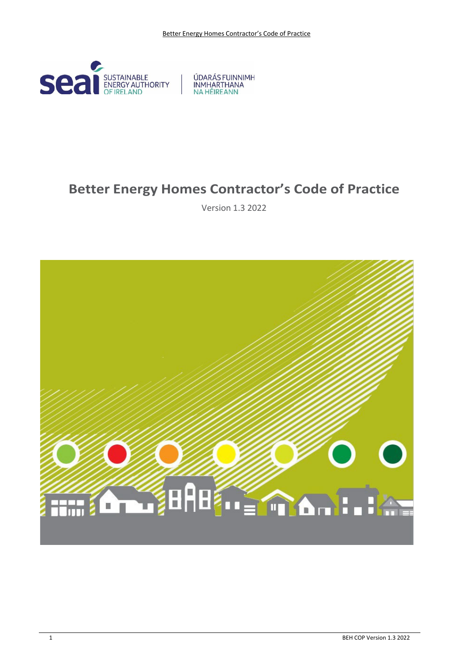

ÚDARÁS FUINNIMH INMHARTHANA

# **Better Energy Homes Contractor's Code of Practice**

Version 1.3 2022

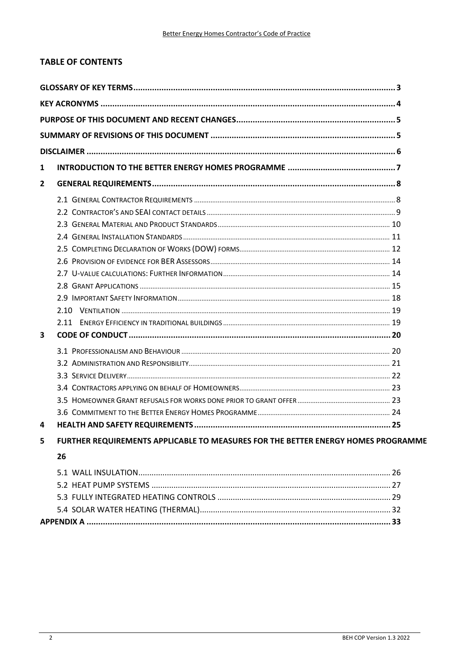# **TABLE OF CONTENTS**

| $\mathbf{1}$            |                                                                                   |  |
|-------------------------|-----------------------------------------------------------------------------------|--|
| $\mathbf{2}$            |                                                                                   |  |
|                         |                                                                                   |  |
|                         |                                                                                   |  |
|                         |                                                                                   |  |
|                         |                                                                                   |  |
|                         |                                                                                   |  |
|                         |                                                                                   |  |
|                         |                                                                                   |  |
|                         |                                                                                   |  |
|                         |                                                                                   |  |
|                         |                                                                                   |  |
|                         |                                                                                   |  |
| $\overline{\mathbf{3}}$ |                                                                                   |  |
|                         |                                                                                   |  |
|                         |                                                                                   |  |
|                         |                                                                                   |  |
|                         |                                                                                   |  |
|                         |                                                                                   |  |
|                         |                                                                                   |  |
| 4                       |                                                                                   |  |
| 5                       | FURTHER REQUIREMENTS APPLICABLE TO MEASURES FOR THE BETTER ENERGY HOMES PROGRAMME |  |
|                         | 26                                                                                |  |
|                         |                                                                                   |  |
|                         |                                                                                   |  |
|                         |                                                                                   |  |
|                         |                                                                                   |  |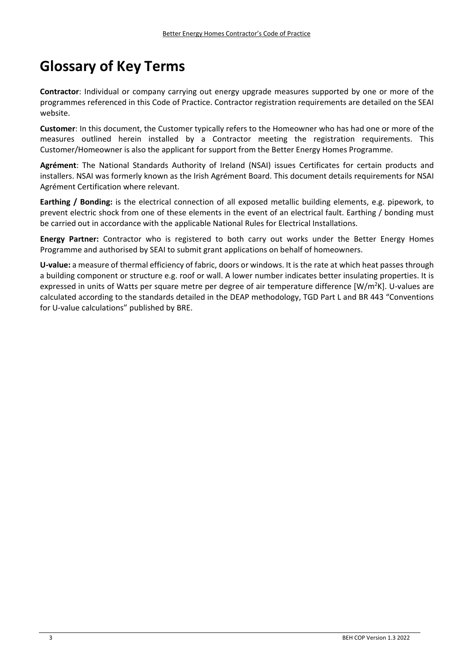# **Glossary of Key Terms**

**Contractor**: Individual or company carrying out energy upgrade measures supported by one or more of the programmes referenced in this Code of Practice. Contractor registration requirements are detailed on the SEAI website.

**Customer**: In this document, the Customer typically refers to the Homeowner who has had one or more of the measures outlined herein installed by a Contractor meeting the registration requirements. This Customer/Homeowner is also the applicant for support from the Better Energy Homes Programme.

**Agrément**: The National Standards Authority of Ireland (NSAI) issues Certificates for certain products and installers. NSAI was formerly known as the Irish Agrément Board. This document details requirements for NSAI Agrément Certification where relevant.

**Earthing / Bonding:** is the electrical connection of all exposed metallic building elements, e.g. pipework, to prevent electric shock from one of these elements in the event of an electrical fault. Earthing / bonding must be carried out in accordance with the applicable National Rules for Electrical Installations.

**Energy Partner:** Contractor who is registered to both carry out works under the Better Energy Homes Programme and authorised by SEAI to submit grant applications on behalf of homeowners.

**U‐value:** a measure of thermal efficiency of fabric, doors or windows. It is the rate at which heat passes through a building component or structure e.g. roof or wall. A lower number indicates better insulating properties. It is expressed in units of Watts per square metre per degree of air temperature difference [W/m<sup>2</sup>K]. U-values are calculated according to the standards detailed in the DEAP methodology, TGD Part L and BR 443 "Conventions for U-value calculations" published by BRE.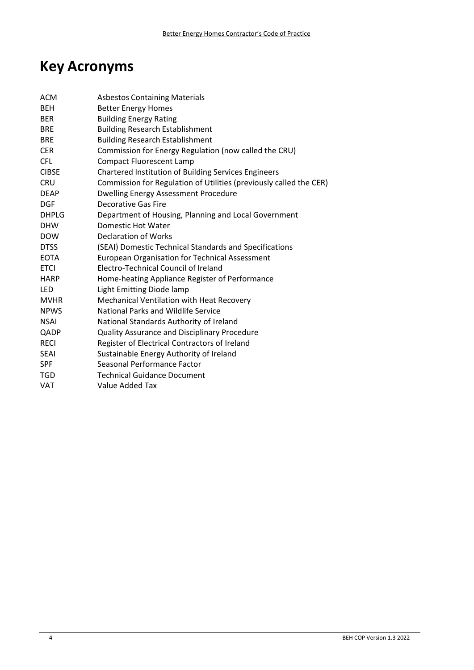# **Key Acronyms**

| ACM          | <b>Asbestos Containing Materials</b>                               |
|--------------|--------------------------------------------------------------------|
| <b>BEH</b>   | <b>Better Energy Homes</b>                                         |
| <b>BER</b>   | <b>Building Energy Rating</b>                                      |
| <b>BRE</b>   | <b>Building Research Establishment</b>                             |
| <b>BRE</b>   | <b>Building Research Establishment</b>                             |
| <b>CER</b>   | Commission for Energy Regulation (now called the CRU)              |
| <b>CFL</b>   | <b>Compact Fluorescent Lamp</b>                                    |
| <b>CIBSE</b> | <b>Chartered Institution of Building Services Engineers</b>        |
| <b>CRU</b>   | Commission for Regulation of Utilities (previously called the CER) |
| <b>DEAP</b>  | Dwelling Energy Assessment Procedure                               |
| <b>DGF</b>   | <b>Decorative Gas Fire</b>                                         |
| DHPLG        | Department of Housing, Planning and Local Government               |
| <b>DHW</b>   | Domestic Hot Water                                                 |
| <b>DOW</b>   | Declaration of Works                                               |
| <b>DTSS</b>  | (SEAI) Domestic Technical Standards and Specifications             |
| <b>EOTA</b>  | <b>European Organisation for Technical Assessment</b>              |
| <b>ETCI</b>  | Electro-Technical Council of Ireland                               |
| <b>HARP</b>  | Home-heating Appliance Register of Performance                     |
| LED          | Light Emitting Diode lamp                                          |
| <b>MVHR</b>  | Mechanical Ventilation with Heat Recovery                          |
| <b>NPWS</b>  | <b>National Parks and Wildlife Service</b>                         |
| <b>NSAI</b>  | National Standards Authority of Ireland                            |
| QADP         | Quality Assurance and Disciplinary Procedure                       |
| <b>RECI</b>  | Register of Electrical Contractors of Ireland                      |
| <b>SEAI</b>  | Sustainable Energy Authority of Ireland                            |
| <b>SPF</b>   | Seasonal Performance Factor                                        |
| <b>TGD</b>   | <b>Technical Guidance Document</b>                                 |
| <b>VAT</b>   | <b>Value Added Tax</b>                                             |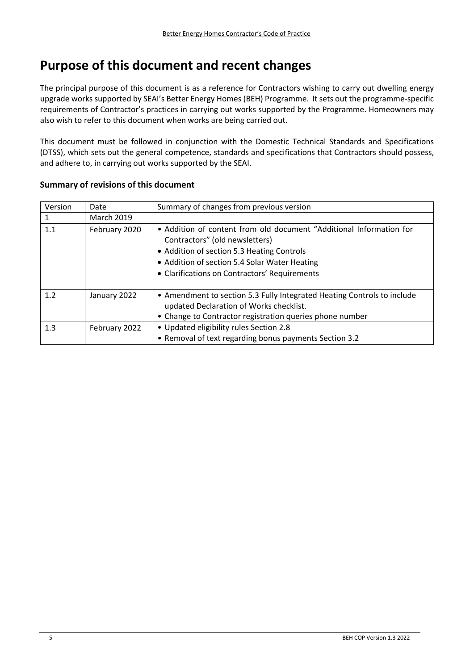# **Purpose of this document and recent changes**

The principal purpose of this document is as a reference for Contractors wishing to carry out dwelling energy upgrade works supported by SEAI's Better Energy Homes (BEH) Programme. It sets out the programme‐specific requirements of Contractor's practices in carrying out works supported by the Programme. Homeowners may also wish to refer to this document when works are being carried out.

This document must be followed in conjunction with the Domestic Technical Standards and Specifications (DTSS), which sets out the general competence, standards and specifications that Contractors should possess, and adhere to, in carrying out works supported by the SEAI.

| Version | Date              | Summary of changes from previous version                                                                                                                                                                                                              |
|---------|-------------------|-------------------------------------------------------------------------------------------------------------------------------------------------------------------------------------------------------------------------------------------------------|
|         | <b>March 2019</b> |                                                                                                                                                                                                                                                       |
| 1.1     | February 2020     | • Addition of content from old document "Additional Information for<br>Contractors" (old newsletters)<br>• Addition of section 5.3 Heating Controls<br>• Addition of section 5.4 Solar Water Heating<br>• Clarifications on Contractors' Requirements |
| 1.2     | January 2022      | • Amendment to section 5.3 Fully Integrated Heating Controls to include<br>updated Declaration of Works checklist.<br>• Change to Contractor registration queries phone number                                                                        |
| 1.3     | February 2022     | • Updated eligibility rules Section 2.8<br>• Removal of text regarding bonus payments Section 3.2                                                                                                                                                     |

# **Summary of revisions of this document**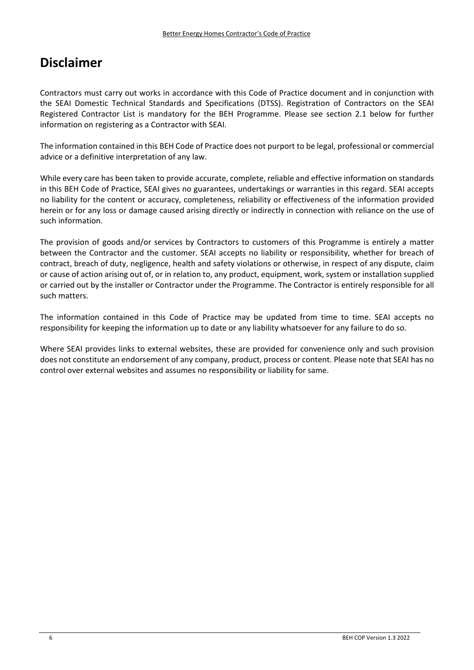# **Disclaimer**

Contractors must carry out works in accordance with this Code of Practice document and in conjunction with the SEAI Domestic Technical Standards and Specifications (DTSS). Registration of Contractors on the SEAI Registered Contractor List is mandatory for the BEH Programme. Please see section 2.1 below for further information on registering as a Contractor with SEAI.

The information contained in this BEH Code of Practice does not purport to be legal, professional or commercial advice or a definitive interpretation of any law.

While every care has been taken to provide accurate, complete, reliable and effective information on standards in this BEH Code of Practice, SEAI gives no guarantees, undertakings or warranties in this regard. SEAI accepts no liability for the content or accuracy, completeness, reliability or effectiveness of the information provided herein or for any loss or damage caused arising directly or indirectly in connection with reliance on the use of such information.

The provision of goods and/or services by Contractors to customers of this Programme is entirely a matter between the Contractor and the customer. SEAI accepts no liability or responsibility, whether for breach of contract, breach of duty, negligence, health and safety violations or otherwise, in respect of any dispute, claim or cause of action arising out of, or in relation to, any product, equipment, work, system or installation supplied or carried out by the installer or Contractor under the Programme. The Contractor is entirely responsible for all such matters.

The information contained in this Code of Practice may be updated from time to time. SEAI accepts no responsibility for keeping the information up to date or any liability whatsoever for any failure to do so.

Where SEAI provides links to external websites, these are provided for convenience only and such provision does not constitute an endorsement of any company, product, process or content. Please note that SEAI has no control over external websites and assumes no responsibility or liability for same.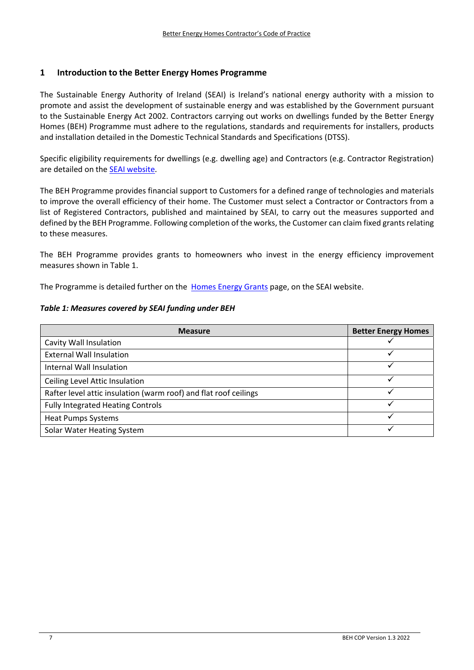# **1 Introduction to the Better Energy Homes Programme**

The Sustainable Energy Authority of Ireland (SEAI) is Ireland's national energy authority with a mission to promote and assist the development of sustainable energy and was established by the Government pursuant to the Sustainable Energy Act 2002. Contractors carrying out works on dwellings funded by the Better Energy Homes (BEH) Programme must adhere to the regulations, standards and requirements for installers, products and installation detailed in the Domestic Technical Standards and Specifications (DTSS).

Specific eligibility requirements for dwellings (e.g. dwelling age) and Contractors (e.g. Contractor Registration) are detailed on the SEAI website.

The BEH Programme provides financial support to Customers for a defined range of technologies and materials to improve the overall efficiency of their home. The Customer must select a Contractor or Contractors from a list of Registered Contractors, published and maintained by SEAI, to carry out the measures supported and defined by the BEH Programme. Following completion of the works, the Customer can claim fixed grants relating to these measures.

The BEH Programme provides grants to homeowners who invest in the energy efficiency improvement measures shown in Table 1.

The Programme is detailed further on the Homes Energy Grants page, on the SEAI website.

#### *Table 1: Measures covered by SEAI funding under BEH*

| <b>Measure</b>                                                   | <b>Better Energy Homes</b> |
|------------------------------------------------------------------|----------------------------|
| Cavity Wall Insulation                                           |                            |
| <b>External Wall Insulation</b>                                  |                            |
| Internal Wall Insulation                                         |                            |
| Ceiling Level Attic Insulation                                   |                            |
| Rafter level attic insulation (warm roof) and flat roof ceilings | ✓                          |
| <b>Fully Integrated Heating Controls</b>                         |                            |
| <b>Heat Pumps Systems</b>                                        |                            |
| Solar Water Heating System                                       |                            |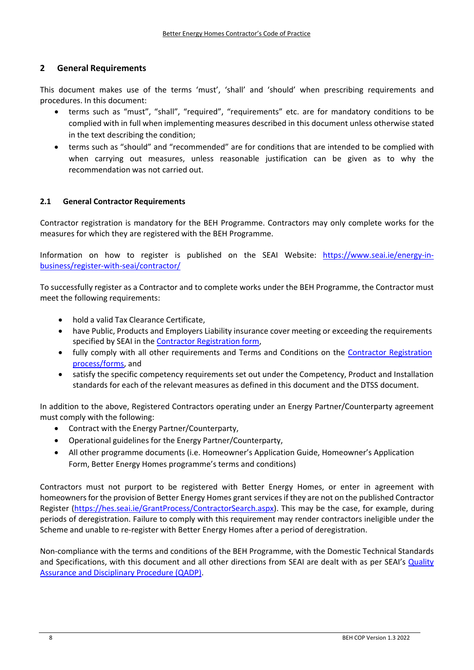# **2 General Requirements**

This document makes use of the terms 'must', 'shall' and 'should' when prescribing requirements and procedures. In this document:

- terms such as "must", "shall", "required", "requirements" etc. are for mandatory conditions to be complied with in full when implementing measures described in this document unless otherwise stated in the text describing the condition;
- terms such as "should" and "recommended" are for conditions that are intended to be complied with when carrying out measures, unless reasonable justification can be given as to why the recommendation was not carried out.

#### **2.1 General Contractor Requirements**

Contractor registration is mandatory for the BEH Programme. Contractors may only complete works for the measures for which they are registered with the BEH Programme.

Information on how to register is published on the SEAI Website: https://www.seai.ie/energy‐in‐ business/register‐with‐seai/contractor/

To successfully register as a Contractor and to complete works under the BEH Programme, the Contractor must meet the following requirements:

- hold a valid Tax Clearance Certificate,
- have Public, Products and Employers Liability insurance cover meeting or exceeding the requirements specified by SEAI in the Contractor Registration form,
- fully comply with all other requirements and Terms and Conditions on the Contractor Registration process/forms, and
- satisfy the specific competency requirements set out under the Competency, Product and Installation standards for each of the relevant measures as defined in this document and the DTSS document.

In addition to the above, Registered Contractors operating under an Energy Partner/Counterparty agreement must comply with the following:

- Contract with the Energy Partner/Counterparty,
- Operational guidelines for the Energy Partner/Counterparty,
- All other programme documents (i.e. Homeowner's Application Guide, Homeowner's Application Form, Better Energy Homes programme's terms and conditions)

Contractors must not purport to be registered with Better Energy Homes, or enter in agreement with homeowners for the provision of Better Energy Homes grant services if they are not on the published Contractor Register (https://hes.seai.ie/GrantProcess/ContractorSearch.aspx). This may be the case, for example, during periods of deregistration. Failure to comply with this requirement may render contractors ineligible under the Scheme and unable to re‐register with Better Energy Homes after a period of deregistration.

Non‐compliance with the terms and conditions of the BEH Programme, with the Domestic Technical Standards and Specifications, with this document and all other directions from SEAI are dealt with as per SEAI's Quality Assurance and Disciplinary Procedure (QADP).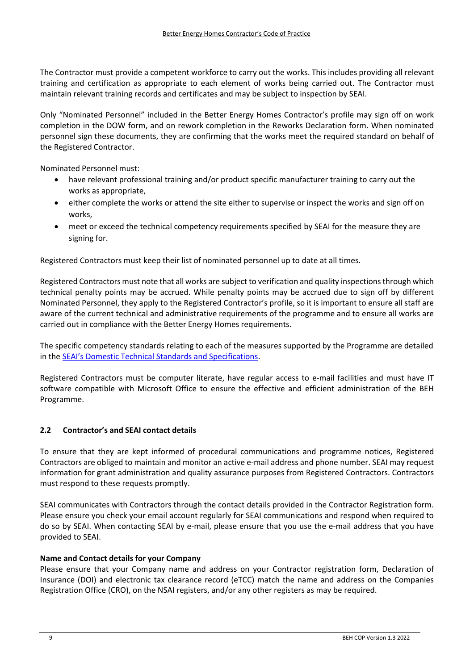The Contractor must provide a competent workforce to carry out the works. This includes providing all relevant training and certification as appropriate to each element of works being carried out. The Contractor must maintain relevant training records and certificates and may be subject to inspection by SEAI.

Only "Nominated Personnel" included in the Better Energy Homes Contractor's profile may sign off on work completion in the DOW form, and on rework completion in the Reworks Declaration form. When nominated personnel sign these documents, they are confirming that the works meet the required standard on behalf of the Registered Contractor.

Nominated Personnel must:

- have relevant professional training and/or product specific manufacturer training to carry out the works as appropriate,
- either complete the works or attend the site either to supervise or inspect the works and sign off on works,
- meet or exceed the technical competency requirements specified by SEAI for the measure they are signing for.

Registered Contractors must keep their list of nominated personnel up to date at all times.

Registered Contractors must note that all works are subject to verification and quality inspectionsthrough which technical penalty points may be accrued. While penalty points may be accrued due to sign off by different Nominated Personnel, they apply to the Registered Contractor's profile, so it is important to ensure all staff are aware of the current technical and administrative requirements of the programme and to ensure all works are carried out in compliance with the Better Energy Homes requirements.

The specific competency standards relating to each of the measures supported by the Programme are detailed in the SEAI's Domestic Technical Standards and Specifications.

Registered Contractors must be computer literate, have regular access to e‐mail facilities and must have IT software compatible with Microsoft Office to ensure the effective and efficient administration of the BEH Programme.

# **2.2 Contractor's and SEAI contact details**

To ensure that they are kept informed of procedural communications and programme notices, Registered Contractors are obliged to maintain and monitor an active e‐mail address and phone number. SEAI may request information for grant administration and quality assurance purposes from Registered Contractors. Contractors must respond to these requests promptly.

SEAI communicates with Contractors through the contact details provided in the Contractor Registration form. Please ensure you check your email account regularly for SEAI communications and respond when required to do so by SEAI. When contacting SEAI by e-mail, please ensure that you use the e-mail address that you have provided to SEAI.

#### **Name and Contact details for your Company**

Please ensure that your Company name and address on your Contractor registration form, Declaration of Insurance (DOI) and electronic tax clearance record (eTCC) match the name and address on the Companies Registration Office (CRO), on the NSAI registers, and/or any other registers as may be required.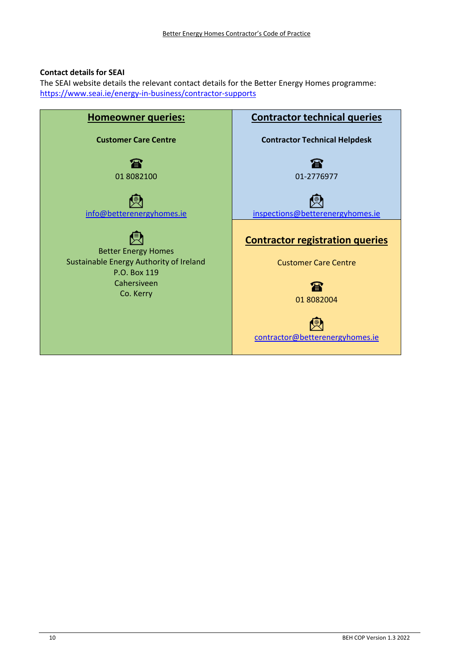# **Contact details for SEAI**

The SEAI website details the relevant contact details for the Better Energy Homes programme: https://www.seai.ie/energy‐in‐business/contractor‐supports

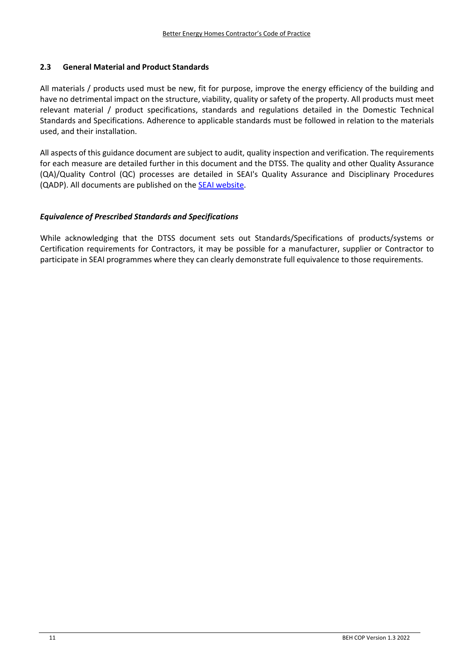# **2.3 General Material and Product Standards**

All materials / products used must be new, fit for purpose, improve the energy efficiency of the building and have no detrimental impact on the structure, viability, quality or safety of the property. All products must meet relevant material / product specifications, standards and regulations detailed in the Domestic Technical Standards and Specifications. Adherence to applicable standards must be followed in relation to the materials used, and their installation.

All aspects of this guidance document are subject to audit, quality inspection and verification. The requirements for each measure are detailed further in this document and the DTSS. The quality and other Quality Assurance (QA)/Quality Control (QC) processes are detailed in SEAI's Quality Assurance and Disciplinary Procedures (QADP). All documents are published on the SEAI website.

#### *Equivalence of Prescribed Standards and Specifications*

While acknowledging that the DTSS document sets out Standards/Specifications of products/systems or Certification requirements for Contractors, it may be possible for a manufacturer, supplier or Contractor to participate in SEAI programmes where they can clearly demonstrate full equivalence to those requirements.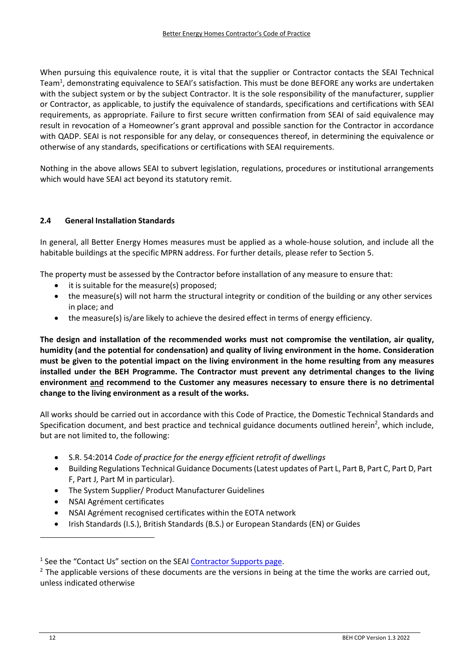When pursuing this equivalence route, it is vital that the supplier or Contractor contacts the SEAI Technical Team<sup>1</sup>, demonstrating equivalence to SEAI's satisfaction. This must be done BEFORE any works are undertaken with the subject system or by the subject Contractor. It is the sole responsibility of the manufacturer, supplier or Contractor, as applicable, to justify the equivalence of standards, specifications and certifications with SEAI requirements, as appropriate. Failure to first secure written confirmation from SEAI of said equivalence may result in revocation of a Homeowner's grant approval and possible sanction for the Contractor in accordance with QADP. SEAI is not responsible for any delay, or consequences thereof, in determining the equivalence or otherwise of any standards, specifications or certifications with SEAI requirements.

Nothing in the above allows SEAI to subvert legislation, regulations, procedures or institutional arrangements which would have SEAI act beyond its statutory remit.

# **2.4 General Installation Standards**

In general, all Better Energy Homes measures must be applied as a whole‐house solution, and include all the habitable buildings at the specific MPRN address. For further details, please refer to Section 5.

The property must be assessed by the Contractor before installation of any measure to ensure that:

- it is suitable for the measure(s) proposed;
- the measure(s) will not harm the structural integrity or condition of the building or any other services in place; and
- the measure(s) is/are likely to achieve the desired effect in terms of energy efficiency.

**The design and installation of the recommended works must not compromise the ventilation, air quality, humidity (and the potential for condensation) and quality of living environment in the home. Consideration** must be given to the potential impact on the living environment in the home resulting from any measures **installed under the BEH Programme. The Contractor must prevent any detrimental changes to the living environment and recommend to the Customer any measures necessary to ensure there is no detrimental change to the living environment as a result of the works.**

All works should be carried out in accordance with this Code of Practice, the Domestic Technical Standards and Specification document, and best practice and technical guidance documents outlined herein<sup>2</sup>, which include, but are not limited to, the following:

- S.R. 54:2014 *Code of practice for the energy efficient retrofit of dwellings*
- Building Regulations Technical Guidance Documents(Latest updates of Part L, Part B, Part C, Part D, Part F, Part J, Part M in particular).
- The System Supplier/ Product Manufacturer Guidelines
- NSAI Agrément certificates
- NSAI Agrément recognised certificates within the EOTA network
- Irish Standards (I.S.), British Standards (B.S.) or European Standards (EN) or Guides

 $1$  See the "Contact Us" section on the SEAI Contractor Supports page.

 $<sup>2</sup>$  The applicable versions of these documents are the versions in being at the time the works are carried out,</sup> unless indicated otherwise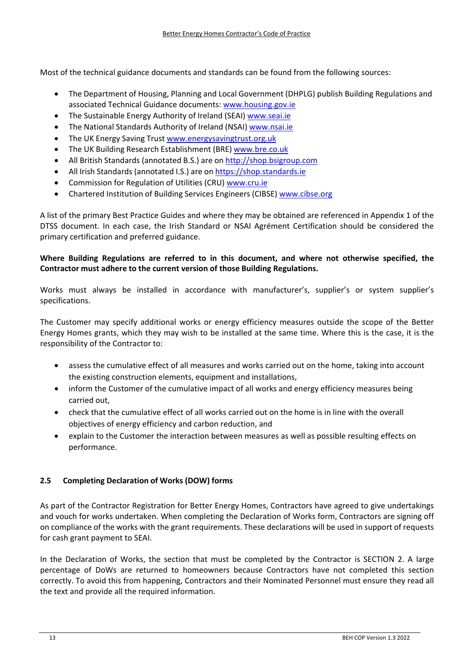Most of the technical guidance documents and standards can be found from the following sources:

- The Department of Housing, Planning and Local Government (DHPLG) publish Building Regulations and associated Technical Guidance documents: www.housing.gov.ie
- The Sustainable Energy Authority of Ireland (SEAI) www.seai.ie
- The National Standards Authority of Ireland (NSAI) www.nsai.ie
- The UK Energy Saving Trust www.energysavingtrust.org.uk
- The UK Building Research Establishment (BRE) www.bre.co.uk
- All British Standards (annotated B.S.) are on http://shop.bsigroup.com
- All Irish Standards (annotated I.S.) are on https://shop.standards.ie
- Commission for Regulation of Utilities (CRU) www.cru.ie
- Chartered Institution of Building Services Engineers (CIBSE) www.cibse.org

A list of the primary Best Practice Guides and where they may be obtained are referenced in Appendix 1 of the DTSS document. In each case, the Irish Standard or NSAI Agrément Certification should be considered the primary certification and preferred guidance.

# **Where Building Regulations are referred to in this document, and where not otherwise specified, the Contractor must adhere to the current version of those Building Regulations.**

Works must always be installed in accordance with manufacturer's, supplier's or system supplier's specifications.

The Customer may specify additional works or energy efficiency measures outside the scope of the Better Energy Homes grants, which they may wish to be installed at the same time. Where this is the case, it is the responsibility of the Contractor to:

- assess the cumulative effect of all measures and works carried out on the home, taking into account the existing construction elements, equipment and installations,
- inform the Customer of the cumulative impact of all works and energy efficiency measures being carried out,
- check that the cumulative effect of all works carried out on the home is in line with the overall objectives of energy efficiency and carbon reduction, and
- explain to the Customer the interaction between measures as well as possible resulting effects on performance.

# **2.5 Completing Declaration of Works (DOW) forms**

As part of the Contractor Registration for Better Energy Homes, Contractors have agreed to give undertakings and vouch for works undertaken. When completing the Declaration of Works form, Contractors are signing off on compliance of the works with the grant requirements. These declarations will be used in support of requests for cash grant payment to SEAI.

In the Declaration of Works, the section that must be completed by the Contractor is SECTION 2. A large percentage of DoWs are returned to homeowners because Contractors have not completed this section correctly. To avoid this from happening, Contractors and their Nominated Personnel must ensure they read all the text and provide all the required information.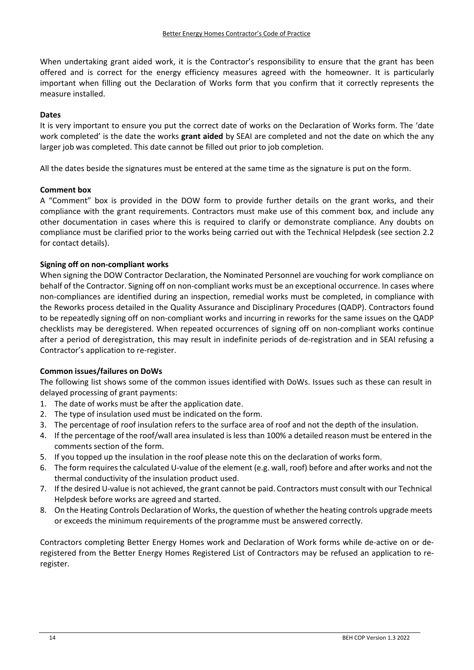When undertaking grant aided work, it is the Contractor's responsibility to ensure that the grant has been offered and is correct for the energy efficiency measures agreed with the homeowner. It is particularly important when filling out the Declaration of Works form that you confirm that it correctly represents the measure installed.

#### **Dates**

It is very important to ensure you put the correct date of works on the Declaration of Works form. The 'date work completed' is the date the works **grant aided** by SEAI are completed and not the date on which the any larger job was completed. This date cannot be filled out prior to job completion.

All the dates beside the signatures must be entered at the same time as the signature is put on the form.

#### **Comment box**

A "Comment" box is provided in the DOW form to provide further details on the grant works, and their compliance with the grant requirements. Contractors must make use of this comment box, and include any other documentation in cases where this is required to clarify or demonstrate compliance. Any doubts on compliance must be clarified prior to the works being carried out with the Technical Helpdesk (see section 2.2 for contact details).

#### **Signing off on non‐compliant works**

When signing the DOW Contractor Declaration, the Nominated Personnel are vouching for work compliance on behalf of the Contractor. Signing off on non‐compliant works must be an exceptional occurrence. In cases where non‐compliances are identified during an inspection, remedial works must be completed, in compliance with the Reworks process detailed in the Quality Assurance and Disciplinary Procedures (QADP). Contractors found to be repeatedly signing off on non‐compliant works and incurring in reworks for the same issues on the QADP checklists may be deregistered. When repeated occurrences of signing off on non‐compliant works continue after a period of deregistration, this may result in indefinite periods of de‐registration and in SEAI refusing a Contractor's application to re‐register.

#### **Common issues/failures on DoWs**

The following list shows some of the common issues identified with DoWs. Issues such as these can result in delayed processing of grant payments:

- 1. The date of works must be after the application date.
- 2. The type of insulation used must be indicated on the form.
- 3. The percentage of roof insulation refers to the surface area of roof and not the depth of the insulation.
- 4. If the percentage of the roof/wall area insulated is less than 100% a detailed reason must be entered in the comments section of the form.
- 5. If you topped up the insulation in the roof please note this on the declaration of works form.
- 6. The form requiresthe calculated U‐value of the element (e.g. wall, roof) before and after works and not the thermal conductivity of the insulation product used.
- 7. If the desired U-value is not achieved, the grant cannot be paid. Contractors must consult with our Technical Helpdesk before works are agreed and started.
- 8. On the Heating Controls Declaration of Works, the question of whether the heating controls upgrade meets or exceeds the minimum requirements of the programme must be answered correctly.

Contractors completing Better Energy Homes work and Declaration of Work forms while de‐active on or de‐ registered from the Better Energy Homes Registered List of Contractors may be refused an application to re‐ register.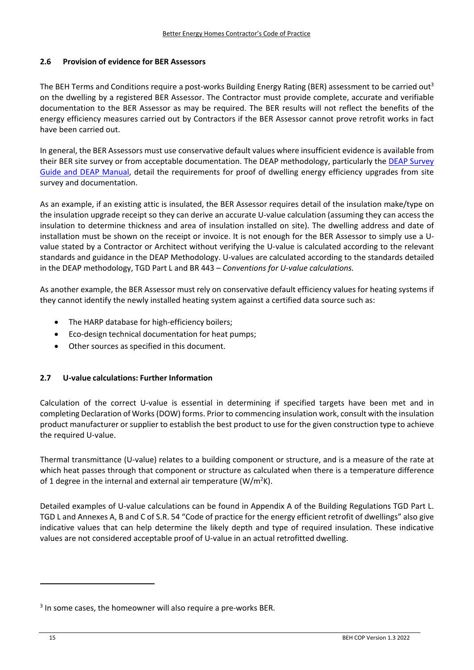### **2.6 Provision of evidence for BER Assessors**

The BEH Terms and Conditions require a post-works Building Energy Rating (BER) assessment to be carried out<sup>3</sup> on the dwelling by a registered BER Assessor. The Contractor must provide complete, accurate and verifiable documentation to the BER Assessor as may be required. The BER results will not reflect the benefits of the energy efficiency measures carried out by Contractors if the BER Assessor cannot prove retrofit works in fact have been carried out.

In general, the BER Assessors must use conservative default values where insufficient evidence is available from their BER site survey or from acceptable documentation. The DEAP methodology, particularly the DEAP Survey Guide and DEAP Manual, detail the requirements for proof of dwelling energy efficiency upgrades from site survey and documentation.

As an example, if an existing attic is insulated, the BER Assessor requires detail of the insulation make/type on the insulation upgrade receipt so they can derive an accurate U‐value calculation (assuming they can access the insulation to determine thickness and area of insulation installed on site). The dwelling address and date of installation must be shown on the receipt or invoice. It is not enough for the BER Assessor to simply use a U‐ value stated by a Contractor or Architect without verifying the U‐value is calculated according to the relevant standards and guidance in the DEAP Methodology. U‐values are calculated according to the standards detailed in the DEAP methodology, TGD Part L and BR 443 – *Conventions for U‐value calculations.*

As another example, the BER Assessor must rely on conservative default efficiency values for heating systems if they cannot identify the newly installed heating system against a certified data source such as:

- The HARP database for high-efficiency boilers;
- Eco‐design technical documentation for heat pumps;
- Other sources as specified in this document.

# **2.7 U‐value calculations: Further Information**

Calculation of the correct U-value is essential in determining if specified targets have been met and in completing Declaration of Works(DOW) forms. Prior to commencing insulation work, consult with the insulation product manufacturer or supplier to establish the best product to use for the given construction type to achieve the required U‐value.

Thermal transmittance (U‐value) relates to a building component or structure, and is a measure of the rate at which heat passes through that component or structure as calculated when there is a temperature difference of 1 degree in the internal and external air temperature (W/m<sup>2</sup>K).

Detailed examples of U-value calculations can be found in Appendix A of the Building Regulations TGD Part L. TGD L and Annexes A, B and C of S.R. 54 "Code of practice for the energy efficient retrofit of dwellings" also give indicative values that can help determine the likely depth and type of required insulation. These indicative values are not considered acceptable proof of U-value in an actual retrofitted dwelling.

<sup>&</sup>lt;sup>3</sup> In some cases, the homeowner will also require a pre-works BER.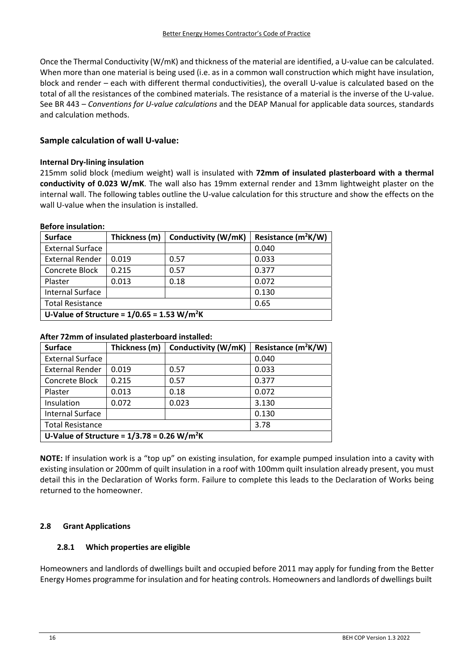Once the Thermal Conductivity (W/mK) and thickness of the material are identified, a U‐value can be calculated. When more than one material is being used (i.e. as in a common wall construction which might have insulation, block and render – each with different thermal conductivities), the overall U-value is calculated based on the total of all the resistances of the combined materials. The resistance of a material is the inverse of the U-value. See BR 443 – *Conventions for U‐value calculations* and the DEAP Manual for applicable data sources, standards and calculation methods.

# **Sample calculation of wall U‐value:**

#### **Internal Dry‐lining insulation**

215mm solid block (medium weight) wall is insulated with **72mm of insulated plasterboard with a thermal conductivity of 0.023 W/mK**. The wall also has 19mm external render and 13mm lightweight plaster on the internal wall. The following tables outline the U‐value calculation for this structure and show the effects on the wall U-value when the insulation is installed.

#### **Before insulation:**

| <b>Surface</b>                                            | Thickness (m) | Conductivity (W/mK) | Resistance (m <sup>2</sup> K/W) |  |  |
|-----------------------------------------------------------|---------------|---------------------|---------------------------------|--|--|
| <b>External Surface</b>                                   |               |                     | 0.040                           |  |  |
| <b>External Render</b>                                    | 0.019         | 0.57                | 0.033                           |  |  |
| Concrete Block                                            | 0.215         | 0.57                | 0.377                           |  |  |
| Plaster                                                   | 0.013         | 0.18                | 0.072                           |  |  |
| <b>Internal Surface</b>                                   |               |                     | 0.130                           |  |  |
| <b>Total Resistance</b>                                   |               |                     | 0.65                            |  |  |
| U-Value of Structure = $1/0.65 = 1.53$ W/m <sup>2</sup> K |               |                     |                                 |  |  |

#### **After 72mm of insulated plasterboard installed:**

| <b>Surface</b>                                            | Thickness (m) | Conductivity (W/mK) | Resistance (m <sup>2</sup> K/W) |  |  |
|-----------------------------------------------------------|---------------|---------------------|---------------------------------|--|--|
| <b>External Surface</b>                                   |               |                     | 0.040                           |  |  |
| <b>External Render</b>                                    | 0.019         | 0.57                | 0.033                           |  |  |
| Concrete Block                                            | 0.215         | 0.57                | 0.377                           |  |  |
| Plaster                                                   | 0.013         | 0.18                | 0.072                           |  |  |
| Insulation                                                | 0.072         | 0.023               | 3.130                           |  |  |
| <b>Internal Surface</b>                                   |               |                     | 0.130                           |  |  |
| <b>Total Resistance</b>                                   |               |                     | 3.78                            |  |  |
| U-Value of Structure = $1/3.78 = 0.26$ W/m <sup>2</sup> K |               |                     |                                 |  |  |

**NOTE:** If insulation work is a "top up" on existing insulation, for example pumped insulation into a cavity with existing insulation or 200mm of quilt insulation in a roof with 100mm quilt insulation already present, you must detail this in the Declaration of Works form. Failure to complete this leads to the Declaration of Works being returned to the homeowner.

# **2.8 Grant Applications**

# **2.8.1 Which properties are eligible**

Homeowners and landlords of dwellings built and occupied before 2011 may apply for funding from the Better Energy Homes programme for insulation and for heating controls. Homeowners and landlords of dwellings built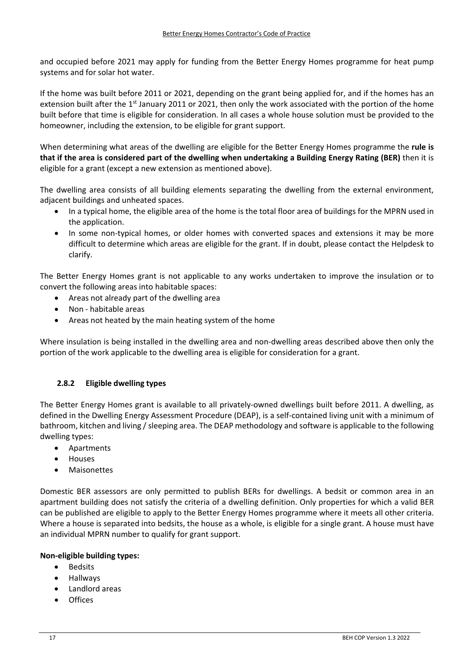and occupied before 2021 may apply for funding from the Better Energy Homes programme for heat pump systems and for solar hot water.

If the home was built before 2011 or 2021, depending on the grant being applied for, and if the homes has an extension built after the 1<sup>st</sup> January 2011 or 2021, then only the work associated with the portion of the home built before that time is eligible for consideration. In all cases a whole house solution must be provided to the homeowner, including the extension, to be eligible for grant support.

When determining what areas of the dwelling are eligible for the Better Energy Homes programme the **rule is** that if the area is considered part of the dwelling when undertaking a Building Energy Rating (BER) then it is eligible for a grant (except a new extension as mentioned above).

The dwelling area consists of all building elements separating the dwelling from the external environment, adjacent buildings and unheated spaces.

- In a typical home, the eligible area of the home is the total floor area of buildings for the MPRN used in the application.
- In some non-typical homes, or older homes with converted spaces and extensions it may be more difficult to determine which areas are eligible for the grant. If in doubt, please contact the Helpdesk to clarify.

The Better Energy Homes grant is not applicable to any works undertaken to improve the insulation or to convert the following areas into habitable spaces:

- Areas not already part of the dwelling area
- Non ‐ habitable areas
- Areas not heated by the main heating system of the home

Where insulation is being installed in the dwelling area and non-dwelling areas described above then only the portion of the work applicable to the dwelling area is eligible for consideration for a grant.

# **2.8.2 Eligible dwelling types**

The Better Energy Homes grant is available to all privately‐owned dwellings built before 2011. A dwelling, as defined in the Dwelling Energy Assessment Procedure (DEAP), is a self‐contained living unit with a minimum of bathroom, kitchen and living / sleeping area. The DEAP methodology and software is applicable to the following dwelling types:

- Apartments
- **•** Houses
- Maisonettes

Domestic BER assessors are only permitted to publish BERs for dwellings. A bedsit or common area in an apartment building does not satisfy the criteria of a dwelling definition. Only properties for which a valid BER can be published are eligible to apply to the Better Energy Homes programme where it meets all other criteria. Where a house is separated into bedsits, the house as a whole, is eligible for a single grant. A house must have an individual MPRN number to qualify for grant support.

# **Non‐eligible building types:**

- Bedsits
- Hallways
- Landlord areas
- **Offices**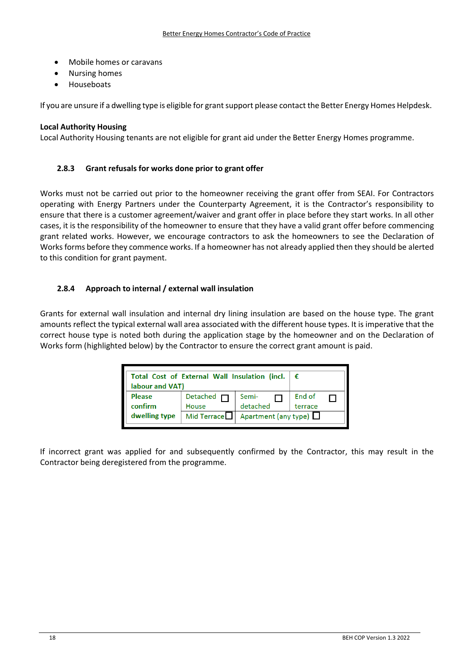- Mobile homes or caravans
- Nursing homes
- Houseboats

If you are unsure if a dwelling type is eligible for grantsupport please contact the Better Energy Homes Helpdesk.

#### **Local Authority Housing**

Local Authority Housing tenants are not eligible for grant aid under the Better Energy Homes programme.

#### **2.8.3 Grant refusals for works done prior to grant offer**

Works must not be carried out prior to the homeowner receiving the grant offer from SEAI. For Contractors operating with Energy Partners under the Counterparty Agreement, it is the Contractor's responsibility to ensure that there is a customer agreement/waiver and grant offer in place before they start works. In all other cases, it is the responsibility of the homeowner to ensure that they have a valid grant offer before commencing grant related works. However, we encourage contractors to ask the homeowners to see the Declaration of Works forms before they commence works. If a homeowner has not already applied then they should be alerted to this condition for grant payment.

#### **2.8.4 Approach to internal / external wall insulation**

Grants for external wall insulation and internal dry lining insulation are based on the house type. The grant amounts reflect the typical external wall area associated with the different house types. It is imperative that the correct house type is noted both during the application stage by the homeowner and on the Declaration of Works form (highlighted below) by the Contractor to ensure the correct grant amount is paid.

| Total Cost of External Wall Insulation (incl.<br>labour and VAT) |                          |                             |                   |  |
|------------------------------------------------------------------|--------------------------|-----------------------------|-------------------|--|
| <b>Please</b><br>confirm                                         | Detached $\Box$<br>House | Semi-<br>detached           | End of<br>terrace |  |
| dwelling type                                                    | Mid Terrace              | Apartment (any type) $\Box$ |                   |  |

If incorrect grant was applied for and subsequently confirmed by the Contractor, this may result in the Contractor being deregistered from the programme.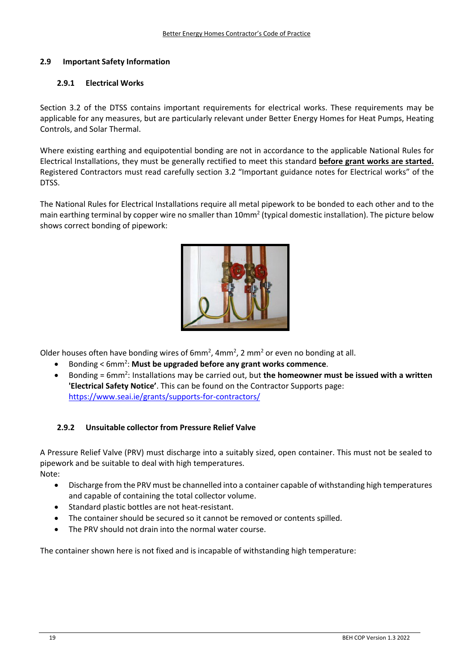# **2.9 Important Safety Information**

#### **2.9.1 Electrical Works**

Section 3.2 of the DTSS contains important requirements for electrical works. These requirements may be applicable for any measures, but are particularly relevant under Better Energy Homes for Heat Pumps, Heating Controls, and Solar Thermal.

Where existing earthing and equipotential bonding are not in accordance to the applicable National Rules for Electrical Installations, they must be generally rectified to meet this standard **before grant works are started.** Registered Contractors must read carefully section 3.2 "Important guidance notes for Electrical works" of the DTSS.

The National Rules for Electrical Installations require all metal pipework to be bonded to each other and to the main earthing terminal by copper wire no smaller than 10mm<sup>2</sup> (typical domestic installation). The picture below shows correct bonding of pipework:



Older houses often have bonding wires of  $6mm^2$ ,  $4mm^2$ ,  $2 mm^2$  or even no bonding at all.

- Bonding < 6mm2 : **Must be upgraded before any grant works commence**.
- Bonding = 6mm2 : Installations may be carried out, but **the homeowner must be issued with a written 'Electrical Safety Notice'**. This can be found on the Contractor Supports page: https://www.seai.ie/grants/supports‐for‐contractors/

# **2.9.2 Unsuitable collector from Pressure Relief Valve**

A Pressure Relief Valve (PRV) must discharge into a suitably sized, open container. This must not be sealed to pipework and be suitable to deal with high temperatures. Note:

- Discharge from the PRV must be channelled into a container capable of withstanding high temperatures and capable of containing the total collector volume.
- Standard plastic bottles are not heat‐resistant.
- The container should be secured so it cannot be removed or contents spilled.
- The PRV should not drain into the normal water course.

The container shown here is not fixed and is incapable of withstanding high temperature: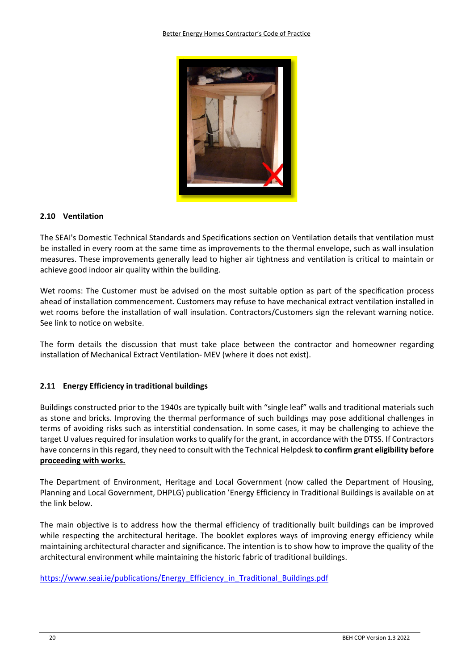

#### **2.10 Ventilation**

The SEAI's Domestic Technical Standards and Specifications section on Ventilation details that ventilation must be installed in every room at the same time as improvements to the thermal envelope, such as wall insulation measures. These improvements generally lead to higher air tightness and ventilation is critical to maintain or achieve good indoor air quality within the building.

Wet rooms: The Customer must be advised on the most suitable option as part of the specification process ahead of installation commencement. Customers may refuse to have mechanical extract ventilation installed in wet rooms before the installation of wall insulation. Contractors/Customers sign the relevant warning notice. See link to notice on website.

The form details the discussion that must take place between the contractor and homeowner regarding installation of Mechanical Extract Ventilation‐ MEV (where it does not exist).

# **2.11 Energy Efficiency in traditional buildings**

Buildings constructed prior to the 1940s are typically built with "single leaf" walls and traditional materials such as stone and bricks. Improving the thermal performance of such buildings may pose additional challenges in terms of avoiding risks such as interstitial condensation. In some cases, it may be challenging to achieve the target U values required for insulation works to qualify for the grant, in accordance with the DTSS. If Contractors have concernsin thisregard, they need to consult with the Technical Helpdesk **to confirm grant eligibility before proceeding with works.**

The Department of Environment, Heritage and Local Government (now called the Department of Housing, Planning and Local Government, DHPLG) publication 'Energy Efficiency in Traditional Buildings is available on at the link below.

The main objective is to address how the thermal efficiency of traditionally built buildings can be improved while respecting the architectural heritage. The booklet explores ways of improving energy efficiency while maintaining architectural character and significance. The intention is to show how to improve the quality of the architectural environment while maintaining the historic fabric of traditional buildings.

https://www.seai.ie/publications/Energy\_Efficiency\_in\_Traditional\_Buildings.pdf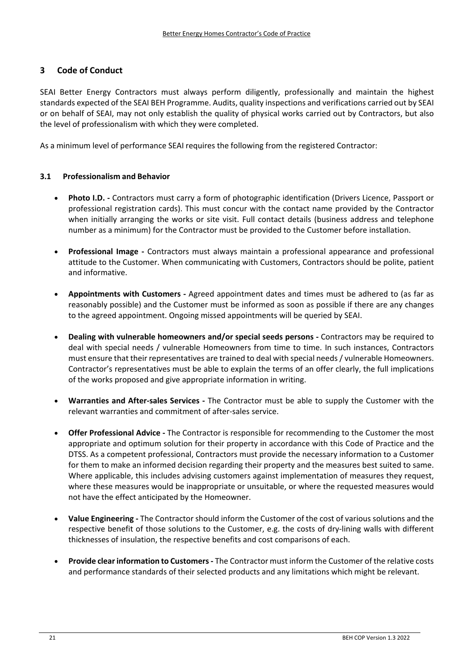# **3 Code of Conduct**

SEAI Better Energy Contractors must always perform diligently, professionally and maintain the highest standards expected of the SEAI BEH Programme. Audits, quality inspections and verifications carried out by SEAI or on behalf of SEAI, may not only establish the quality of physical works carried out by Contractors, but also the level of professionalism with which they were completed.

As a minimum level of performance SEAI requires the following from the registered Contractor:

#### **3.1 Professionalism and Behavior**

- **Photo I.D. ‐** Contractors must carry a form of photographic identification (Drivers Licence, Passport or professional registration cards). This must concur with the contact name provided by the Contractor when initially arranging the works or site visit. Full contact details (business address and telephone number as a minimum) for the Contractor must be provided to the Customer before installation.
- **•** Professional Image Contractors must always maintain a professional appearance and professional attitude to the Customer. When communicating with Customers, Contractors should be polite, patient and informative.
- **Appointments with Customers ‐** Agreed appointment dates and times must be adhered to (as far as reasonably possible) and the Customer must be informed as soon as possible if there are any changes to the agreed appointment. Ongoing missed appointments will be queried by SEAI.
- **Dealing with vulnerable homeowners and/or special seeds persons ‐** Contractors may be required to deal with special needs / vulnerable Homeowners from time to time. In such instances, Contractors must ensure that their representatives are trained to deal with special needs / vulnerable Homeowners. Contractor's representatives must be able to explain the terms of an offer clearly, the full implications of the works proposed and give appropriate information in writing.
- **Warranties and After‐sales Services ‐** The Contractor must be able to supply the Customer with the relevant warranties and commitment of after‐sales service.
- **Offer Professional Advice ‐** The Contractor is responsible for recommending to the Customer the most appropriate and optimum solution for their property in accordance with this Code of Practice and the DTSS. As a competent professional, Contractors must provide the necessary information to a Customer for them to make an informed decision regarding their property and the measures best suited to same. Where applicable, this includes advising customers against implementation of measures they request, where these measures would be inappropriate or unsuitable, or where the requested measures would not have the effect anticipated by the Homeowner.
- **Value Engineering ‐** The Contractor should inform the Customer of the cost of various solutions and the respective benefit of those solutions to the Customer, e.g. the costs of dry-lining walls with different thicknesses of insulation, the respective benefits and cost comparisons of each.
- **Provide clearinformation to Customers ‐** The Contractor must inform the Customer of the relative costs and performance standards of their selected products and any limitations which might be relevant.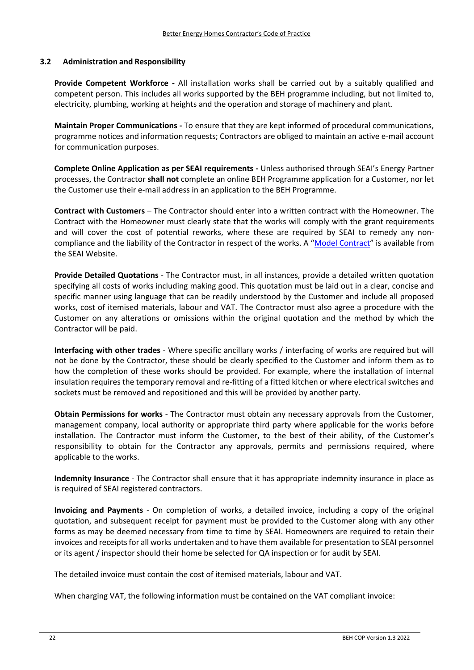#### **3.2 Administration and Responsibility**

**Provide Competent Workforce ‐**  All installation works shall be carried out by a suitably qualified and competent person. This includes all works supported by the BEH programme including, but not limited to, electricity, plumbing, working at heights and the operation and storage of machinery and plant.

**Maintain Proper Communications ‐** To ensure that they are kept informed of procedural communications, programme notices and information requests; Contractors are obliged to maintain an active e‐mail account for communication purposes.

**Complete Online Application as per SEAI requirements ‐** Unless authorised through SEAI's Energy Partner processes, the Contractor **shall not** complete an online BEH Programme application for a Customer, nor let the Customer use their e‐mail address in an application to the BEH Programme.

**Contract with Customers** – The Contractor should enter into a written contract with the Homeowner. The Contract with the Homeowner must clearly state that the works will comply with the grant requirements and will cover the cost of potential reworks, where these are required by SEAI to remedy any noncompliance and the liability of the Contractor in respect of the works. A "Model Contract" is available from the SEAI Website.

**Provide Detailed Quotations** ‐ The Contractor must, in all instances, provide a detailed written quotation specifying all costs of works including making good. This quotation must be laid out in a clear, concise and specific manner using language that can be readily understood by the Customer and include all proposed works, cost of itemised materials, labour and VAT. The Contractor must also agree a procedure with the Customer on any alterations or omissions within the original quotation and the method by which the Contractor will be paid.

**Interfacing with other trades** ‐ Where specific ancillary works / interfacing of works are required but will not be done by the Contractor, these should be clearly specified to the Customer and inform them as to how the completion of these works should be provided. For example, where the installation of internal insulation requires the temporary removal and re‐fitting of a fitted kitchen or where electrical switches and sockets must be removed and repositioned and this will be provided by another party.

**Obtain Permissions for works** ‐ The Contractor must obtain any necessary approvals from the Customer, management company, local authority or appropriate third party where applicable for the works before installation. The Contractor must inform the Customer, to the best of their ability, of the Customer's responsibility to obtain for the Contractor any approvals, permits and permissions required, where applicable to the works.

**Indemnity Insurance** ‐ The Contractor shall ensure that it has appropriate indemnity insurance in place as is required of SEAI registered contractors.

**Invoicing and Payments** ‐ On completion of works, a detailed invoice, including a copy of the original quotation, and subsequent receipt for payment must be provided to the Customer along with any other forms as may be deemed necessary from time to time by SEAI. Homeowners are required to retain their invoices and receipts for all works undertaken and to have them available for presentation to SEAI personnel or its agent / inspector should their home be selected for QA inspection or for audit by SEAI.

The detailed invoice must contain the cost of itemised materials, labour and VAT.

When charging VAT, the following information must be contained on the VAT compliant invoice: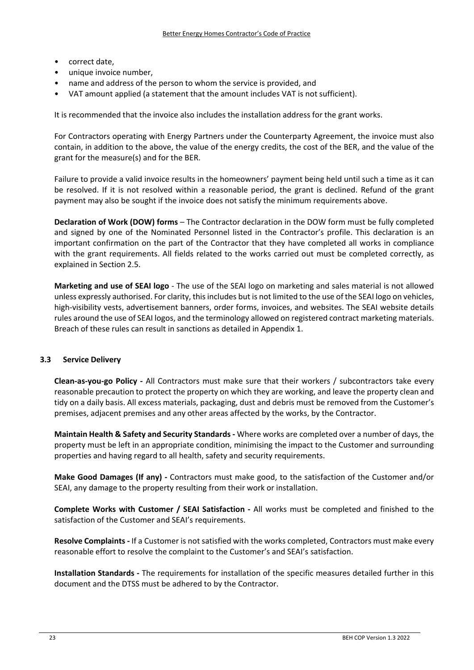- correct date,
- unique invoice number,
- name and address of the person to whom the service is provided, and
- VAT amount applied (a statement that the amount includes VAT is not sufficient).

It is recommended that the invoice also includes the installation address for the grant works.

For Contractors operating with Energy Partners under the Counterparty Agreement, the invoice must also contain, in addition to the above, the value of the energy credits, the cost of the BER, and the value of the grant for the measure(s) and for the BER.

Failure to provide a valid invoice results in the homeowners' payment being held until such a time as it can be resolved. If it is not resolved within a reasonable period, the grant is declined. Refund of the grant payment may also be sought if the invoice does not satisfy the minimum requirements above.

**Declaration of Work (DOW) forms** – The Contractor declaration in the DOW form must be fully completed and signed by one of the Nominated Personnel listed in the Contractor's profile. This declaration is an important confirmation on the part of the Contractor that they have completed all works in compliance with the grant requirements. All fields related to the works carried out must be completed correctly, as explained in Section 2.5.

**Marketing and use of SEAI logo** ‐ The use of the SEAI logo on marketing and sales material is not allowed unless expressly authorised. For clarity, thisincludes but is not limited to the use of the SEAI logo on vehicles, high-visibility vests, advertisement banners, order forms, invoices, and websites. The SEAI website details rules around the use of SEAI logos, and the terminology allowed on registered contract marketing materials. Breach of these rules can result in sanctions as detailed in Appendix 1.

# **3.3 Service Delivery**

**Clean‐as‐you‐go Policy ‐** All Contractors must make sure that their workers / subcontractors take every reasonable precaution to protect the property on which they are working, and leave the property clean and tidy on a daily basis. All excess materials, packaging, dust and debris must be removed from the Customer's premises, adjacent premises and any other areas affected by the works, by the Contractor.

**Maintain Health & Safety and Security Standards ‐** Where works are completed over a number of days, the property must be left in an appropriate condition, minimising the impact to the Customer and surrounding properties and having regard to all health, safety and security requirements.

**Make Good Damages (If any) ‐** Contractors must make good, to the satisfaction of the Customer and/or SEAI, any damage to the property resulting from their work or installation.

**Complete Works with Customer / SEAI Satisfaction ‐** All works must be completed and finished to the satisfaction of the Customer and SEAI's requirements.

**Resolve Complaints ‐** If a Customer is not satisfied with the works completed, Contractors must make every reasonable effort to resolve the complaint to the Customer's and SEAI's satisfaction.

**Installation Standards ‐** The requirements for installation of the specific measures detailed further in this document and the DTSS must be adhered to by the Contractor.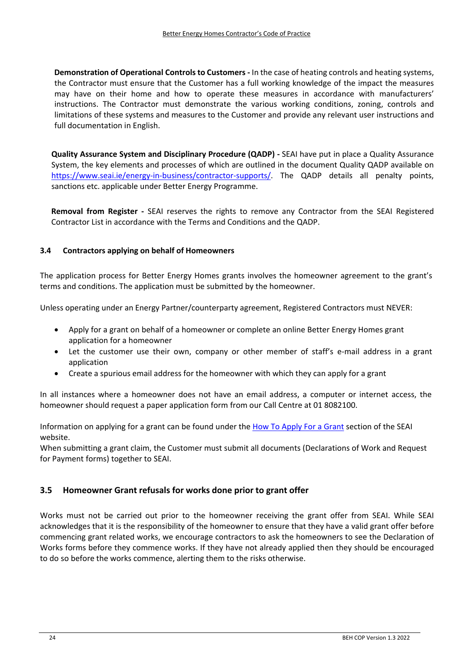**Demonstration of Operational Controls to Customers ‐** In the case of heating controls and heating systems, the Contractor must ensure that the Customer has a full working knowledge of the impact the measures may have on their home and how to operate these measures in accordance with manufacturers' instructions. The Contractor must demonstrate the various working conditions, zoning, controls and limitations of these systems and measures to the Customer and provide any relevant user instructions and full documentation in English.

**Quality Assurance System and Disciplinary Procedure (QADP) ‐** SEAI have put in place a Quality Assurance System, the key elements and processes of which are outlined in the document Quality QADP available on https://www.seai.ie/energy-in-business/contractor-supports/. The QADP details all penalty points, sanctions etc. applicable under Better Energy Programme.

**Removal from Register ‐**  SEAI reserves the rights to remove any Contractor from the SEAI Registered Contractor List in accordance with the Terms and Conditions and the QADP.

# **3.4 Contractors applying on behalf of Homeowners**

The application process for Better Energy Homes grants involves the homeowner agreement to the grant's terms and conditions. The application must be submitted by the homeowner.

Unless operating under an Energy Partner/counterparty agreement, Registered Contractors must NEVER:

- Apply for a grant on behalf of a homeowner or complete an online Better Energy Homes grant application for a homeowner
- Let the customer use their own, company or other member of staff's e-mail address in a grant application
- Create a spurious email address for the homeowner with which they can apply for a grant

In all instances where a homeowner does not have an email address, a computer or internet access, the homeowner should request a paper application form from our Call Centre at 01 8082100.

Information on applying for a grant can be found under the How To Apply For a Grant section of the SEAI website.

When submitting a grant claim, the Customer must submit all documents (Declarations of Work and Request for Payment forms) together to SEAI.

# **3.5 Homeowner Grant refusals for works done prior to grant offer**

Works must not be carried out prior to the homeowner receiving the grant offer from SEAI. While SEAI acknowledges that it is the responsibility of the homeowner to ensure that they have a valid grant offer before commencing grant related works, we encourage contractors to ask the homeowners to see the Declaration of Works forms before they commence works. If they have not already applied then they should be encouraged to do so before the works commence, alerting them to the risks otherwise.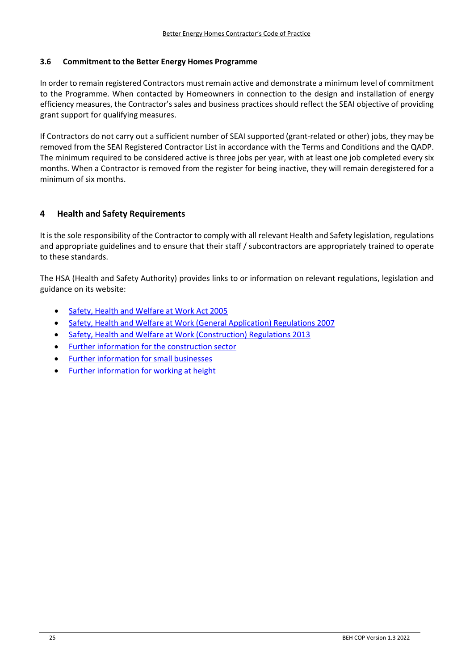#### **3.6 Commitment to the Better Energy Homes Programme**

In order to remain registered Contractors must remain active and demonstrate a minimum level of commitment to the Programme. When contacted by Homeowners in connection to the design and installation of energy efficiency measures, the Contractor's sales and business practices should reflect the SEAI objective of providing grant support for qualifying measures.

If Contractors do not carry out a sufficient number of SEAI supported (grant‐related or other) jobs, they may be removed from the SEAI Registered Contractor List in accordance with the Terms and Conditions and the QADP. The minimum required to be considered active is three jobs per year, with at least one job completed every six months. When a Contractor is removed from the register for being inactive, they will remain deregistered for a minimum of six months.

# **4 Health and Safety Requirements**

It is the sole responsibility of the Contractor to comply with all relevant Health and Safety legislation, regulations and appropriate guidelines and to ensure that their staff / subcontractors are appropriately trained to operate to these standards.

The HSA (Health and Safety Authority) provides links to or information on relevant regulations, legislation and guidance on its website:

- Safety, Health and Welfare at Work Act 2005
- Safety, Health and Welfare at Work (General Application) Regulations 2007
- Safety, Health and Welfare at Work (Construction) Regulations 2013
- Further information for the construction sector
- Further information for small businesses
- Further information for working at height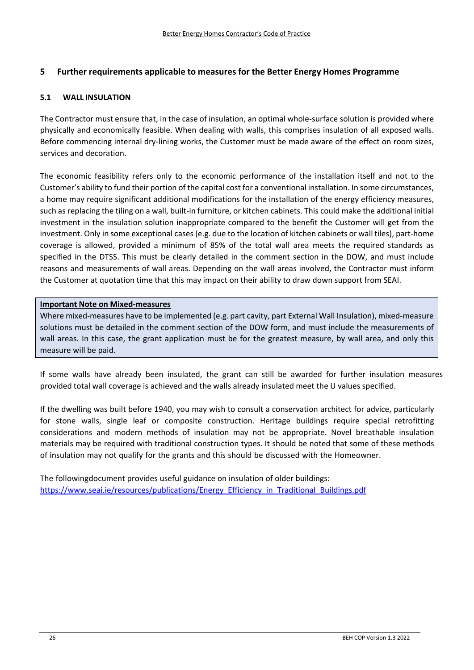# **5 Further requirements applicable to measures for the Better Energy Homes Programme**

#### **5.1 WALL INSULATION**

The Contractor must ensure that, in the case of insulation, an optimal whole-surface solution is provided where physically and economically feasible. When dealing with walls, this comprises insulation of all exposed walls. Before commencing internal dry-lining works, the Customer must be made aware of the effect on room sizes, services and decoration.

The economic feasibility refers only to the economic performance of the installation itself and not to the Customer's ability to fund their portion of the capital cost for a conventional installation. In some circumstances, a home may require significant additional modifications for the installation of the energy efficiency measures, such as replacing the tiling on a wall, built-in furniture, or kitchen cabinets. This could make the additional initial investment in the insulation solution inappropriate compared to the benefit the Customer will get from the investment. Only in some exceptional cases (e.g. due to the location of kitchen cabinets or wall tiles), part-home coverage is allowed, provided a minimum of 85% of the total wall area meets the required standards as specified in the DTSS. This must be clearly detailed in the comment section in the DOW, and must include reasons and measurements of wall areas. Depending on the wall areas involved, the Contractor must inform the Customer at quotation time that this may impact on their ability to draw down support from SEAI.

#### **Important Note on Mixed‐measures**

Where mixed-measures have to be implemented (e.g. part cavity, part External Wall Insulation), mixed-measure solutions must be detailed in the comment section of the DOW form, and must include the measurements of wall areas. In this case, the grant application must be for the greatest measure, by wall area, and only this measure will be paid.

If some walls have already been insulated, the grant can still be awarded for further insulation measures provided total wall coverage is achieved and the walls already insulated meet the U values specified.

If the dwelling was built before 1940, you may wish to consult a conservation architect for advice, particularly for stone walls, single leaf or composite construction. Heritage buildings require special retrofitting considerations and modern methods of insulation may not be appropriate. Novel breathable insulation materials may be required with traditional construction types. It should be noted that some of these methods of insulation may not qualify for the grants and this should be discussed with the Homeowner.

The followingdocument provides useful guidance on insulation of older buildings: https://www.seai.ie/resources/publications/Energy\_Efficiency\_in\_Traditional\_Buildings.pdf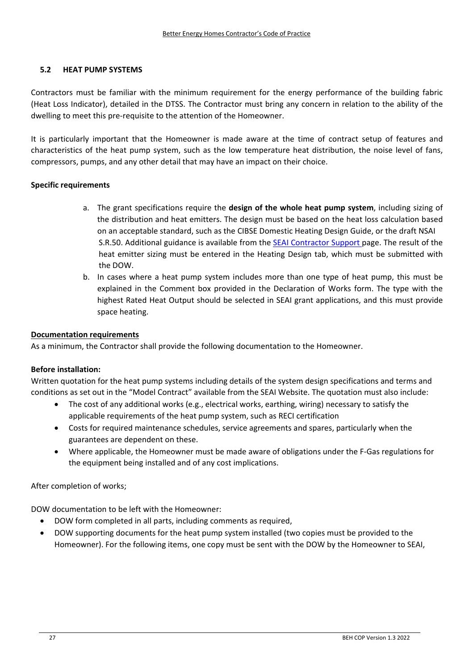# **5.2 HEAT PUMP SYSTEMS**

Contractors must be familiar with the minimum requirement for the energy performance of the building fabric (Heat Loss Indicator), detailed in the DTSS. The Contractor must bring any concern in relation to the ability of the dwelling to meet this pre‐requisite to the attention of the Homeowner.

It is particularly important that the Homeowner is made aware at the time of contract setup of features and characteristics of the heat pump system, such as the low temperature heat distribution, the noise level of fans, compressors, pumps, and any other detail that may have an impact on their choice.

#### **Specific requirements**

- a. The grant specifications require the **design of the whole heat pump system**, including sizing of the distribution and heat emitters. The design must be based on the heat loss calculation based on an acceptable standard, such as the CIBSE Domestic Heating Design Guide, or the draft NSAI S.R.50. Additional guidance is available from the SEAI Contractor Support page. The result of the heat emitter sizing must be entered in the Heating Design tab, which must be submitted with the DOW.
- b. In cases where a heat pump system includes more than one type of heat pump, this must be explained in the Comment box provided in the Declaration of Works form. The type with the highest Rated Heat Output should be selected in SEAI grant applications, and this must provide space heating.

#### **Documentation requirements**

As a minimum, the Contractor shall provide the following documentation to the Homeowner.

#### **Before installation:**

Written quotation for the heat pump systems including details of the system design specifications and terms and conditions as set out in the "Model Contract" available from the SEAI Website. The quotation must also include:

- The cost of any additional works (e.g., electrical works, earthing, wiring) necessary to satisfy the applicable requirements of the heat pump system, such as RECI certification
- Costs for required maintenance schedules, service agreements and spares, particularly when the guarantees are dependent on these.
- Where applicable, the Homeowner must be made aware of obligations under the F‐Gas regulations for the equipment being installed and of any cost implications.

After completion of works;

DOW documentation to be left with the Homeowner:

- DOW form completed in all parts, including comments as required,
- DOW supporting documents for the heat pump system installed (two copies must be provided to the Homeowner). For the following items, one copy must be sent with the DOW by the Homeowner to SEAI,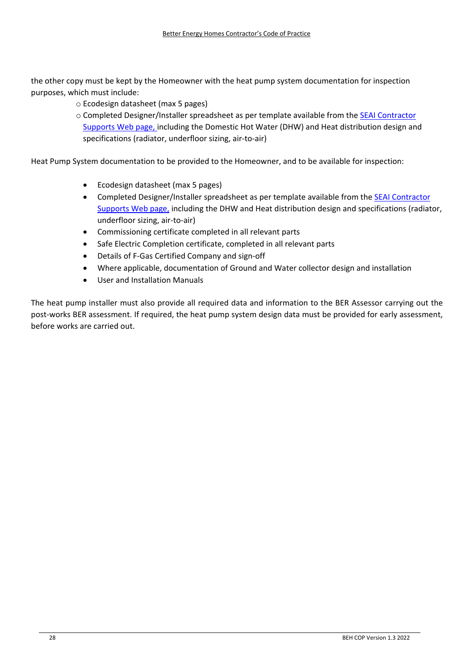the other copy must be kept by the Homeowner with the heat pump system documentation for inspection purposes, which must include:

- o Ecodesign datasheet (max 5 pages)
- o Completed Designer/Installer spreadsheet as per template available from the SEAI Contractor Supports Web page, including the Domestic Hot Water (DHW) and Heat distribution design and specifications (radiator, underfloor sizing, air‐to‐air)

Heat Pump System documentation to be provided to the Homeowner, and to be available for inspection:

- Ecodesign datasheet (max 5 pages)
- Completed Designer/Installer spreadsheet as per template available from the **SEAI Contractor** Supports Web page, including the DHW and Heat distribution design and specifications (radiator, underfloor sizing, air‐to‐air)
- Commissioning certificate completed in all relevant parts
- Safe Electric Completion certificate, completed in all relevant parts
- Details of F‐Gas Certified Company and sign‐off
- Where applicable, documentation of Ground and Water collector design and installation
- User and Installation Manuals

The heat pump installer must also provide all required data and information to the BER Assessor carrying out the post-works BER assessment. If required, the heat pump system design data must be provided for early assessment, before works are carried out.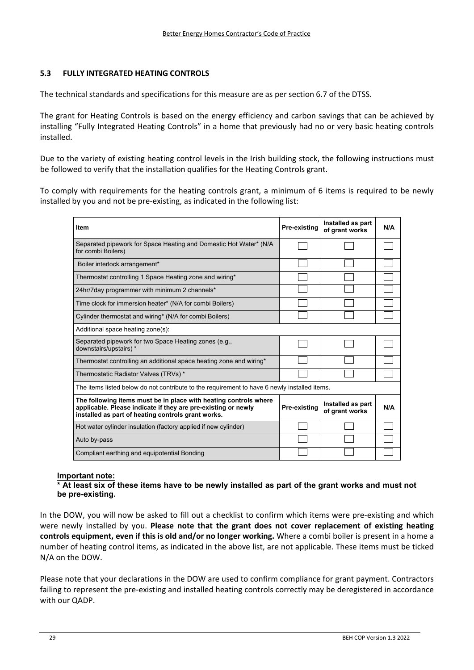### **5.3 FULLY INTEGRATED HEATING CONTROLS**

The technical standards and specifications for this measure are as per section 6.7 of the DTSS.

The grant for Heating Controls is based on the energy efficiency and carbon savings that can be achieved by installing "Fully Integrated Heating Controls" in a home that previously had no or very basic heating controls installed.

Due to the variety of existing heating control levels in the Irish building stock, the following instructions must be followed to verify that the installation qualifies for the Heating Controls grant.

To comply with requirements for the heating controls grant, a minimum of 6 items is required to be newly installed by you and not be pre‐existing, as indicated in the following list:

| <b>Item</b>                                                                                                                                                                             | Pre-existing | Installed as part<br>of grant works | N/A |
|-----------------------------------------------------------------------------------------------------------------------------------------------------------------------------------------|--------------|-------------------------------------|-----|
| Separated pipework for Space Heating and Domestic Hot Water* (N/A<br>for combi Boilers)                                                                                                 |              |                                     |     |
| Boiler interlock arrangement*                                                                                                                                                           |              |                                     |     |
| Thermostat controlling 1 Space Heating zone and wiring*                                                                                                                                 |              |                                     |     |
| 24hr/7day programmer with minimum 2 channels*                                                                                                                                           |              |                                     |     |
| Time clock for immersion heater* (N/A for combi Boilers)                                                                                                                                |              |                                     |     |
| Cylinder thermostat and wiring* (N/A for combi Boilers)                                                                                                                                 |              |                                     |     |
| Additional space heating zone(s):                                                                                                                                                       |              |                                     |     |
| Separated pipework for two Space Heating zones (e.g.,<br>downstairs/upstairs) *                                                                                                         |              |                                     |     |
| Thermostat controlling an additional space heating zone and wiring*                                                                                                                     |              |                                     |     |
| Thermostatic Radiator Valves (TRVs)*                                                                                                                                                    |              |                                     |     |
| The items listed below do not contribute to the requirement to have 6 newly installed items.                                                                                            |              |                                     |     |
| The following items must be in place with heating controls where<br>applicable. Please indicate if they are pre-existing or newly<br>installed as part of heating controls grant works. | Pre-existing | Installed as part<br>of grant works | N/A |
| Hot water cylinder insulation (factory applied if new cylinder)                                                                                                                         |              |                                     |     |
| Auto by-pass                                                                                                                                                                            |              |                                     |     |
| Compliant earthing and equipotential Bonding                                                                                                                                            |              |                                     |     |

#### **Important note:**

#### **\* At least six of these items have to be newly installed as part of the grant works and must not be pre-existing.**

In the DOW, you will now be asked to fill out a checklist to confirm which items were pre-existing and which were newly installed by you. **Please note that the grant does not cover replacement of existing heating controls equipment, even if this is old and/or no longer working.** Where a combi boiler is present in a home a number of heating control items, as indicated in the above list, are not applicable. These items must be ticked N/A on the DOW.

Please note that your declarations in the DOW are used to confirm compliance for grant payment. Contractors failing to represent the pre‐existing and installed heating controls correctly may be deregistered in accordance with our QADP.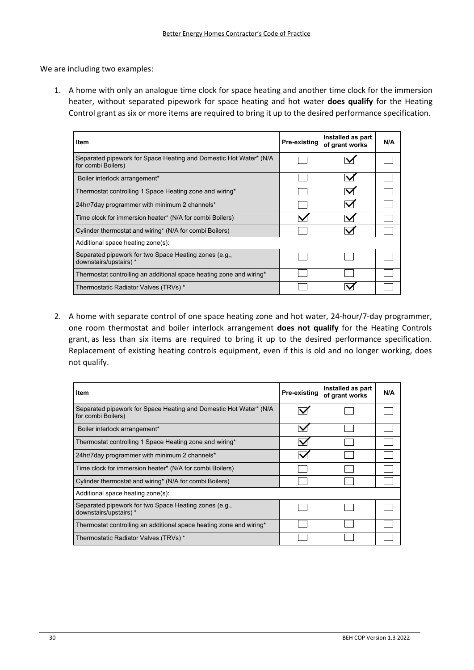We are including two examples:

1. A home with only an analogue time clock for space heating and another time clock for the immersion heater, without separated pipework for space heating and hot water **does qualify** for the Heating Control grant as six or more items are required to bring it up to the desired performance specification.

| Item                                                                                    | Pre-existing | Installed as part<br>of grant works | N/A |
|-----------------------------------------------------------------------------------------|--------------|-------------------------------------|-----|
| Separated pipework for Space Heating and Domestic Hot Water* (N/A<br>for combi Boilers) |              |                                     |     |
| Boiler interlock arrangement*                                                           |              |                                     |     |
| Thermostat controlling 1 Space Heating zone and wiring*                                 |              |                                     |     |
| 24hr/7day programmer with minimum 2 channels*                                           |              |                                     |     |
| Time clock for immersion heater* (N/A for combi Boilers)                                |              |                                     |     |
| Cylinder thermostat and wiring* (N/A for combi Boilers)                                 |              |                                     |     |
| Additional space heating zone(s):                                                       |              |                                     |     |
| Separated pipework for two Space Heating zones (e.g.,<br>downstairs/upstairs) *         |              |                                     |     |
| Thermostat controlling an additional space heating zone and wiring*                     |              |                                     |     |
| Thermostatic Radiator Valves (TRVs) *                                                   |              |                                     |     |

2. A home with separate control of one space heating zone and hot water, 24-hour/7-day programmer, one room thermostat and boiler interlock arrangement **does not qualify** for the Heating Controls grant, as less than six items are required to bring it up to the desired performance specification. Replacement of existing heating controls equipment, even if this is old and no longer working, does not qualify.

| Item                                                                                    | Pre-existing | Installed as part<br>of grant works | N/A |
|-----------------------------------------------------------------------------------------|--------------|-------------------------------------|-----|
| Separated pipework for Space Heating and Domestic Hot Water* (N/A<br>for combi Boilers) |              |                                     |     |
| Boiler interlock arrangement*                                                           |              |                                     |     |
| Thermostat controlling 1 Space Heating zone and wiring*                                 |              |                                     |     |
| 24hr/7day programmer with minimum 2 channels*                                           |              |                                     |     |
| Time clock for immersion heater* (N/A for combi Boilers)                                |              |                                     |     |
| Cylinder thermostat and wiring* (N/A for combi Boilers)                                 |              |                                     |     |
| Additional space heating zone(s):                                                       |              |                                     |     |
| Separated pipework for two Space Heating zones (e.g.,<br>downstairs/upstairs) *         |              |                                     |     |
| Thermostat controlling an additional space heating zone and wiring*                     |              |                                     |     |
| Thermostatic Radiator Valves (TRVs)*                                                    |              |                                     |     |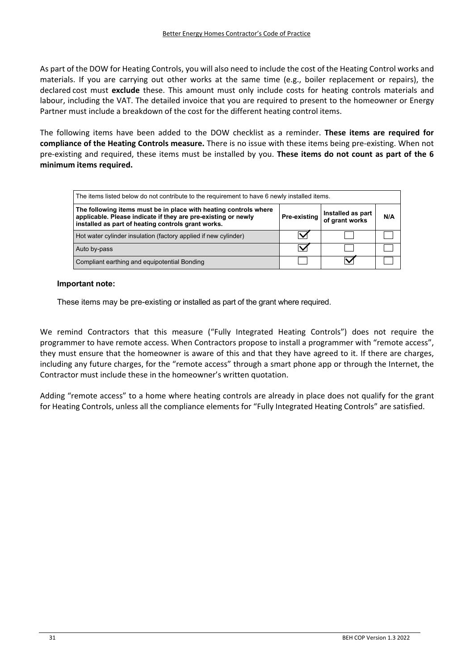As part of the DOW for Heating Controls, you will also need to include the cost of the Heating Control works and materials. If you are carrying out other works at the same time (e.g., boiler replacement or repairs), the declared cost must **exclude** these. This amount must only include costs for heating controls materials and labour, including the VAT. The detailed invoice that you are required to present to the homeowner or Energy Partner must include a breakdown of the cost for the different heating control items.

The following items have been added to the DOW checklist as a reminder. **These items are required for compliance of the Heating Controls measure.** There is no issue with these items being pre‐existing. When not pre‐existing and required, these items must be installed by you. **These items do not count as part of the 6 minimum items required.**

| The items listed below do not contribute to the requirement to have 6 newly installed items.                                                                                            |                     |                                     |     |  |
|-----------------------------------------------------------------------------------------------------------------------------------------------------------------------------------------|---------------------|-------------------------------------|-----|--|
| The following items must be in place with heating controls where<br>applicable. Please indicate if they are pre-existing or newly<br>installed as part of heating controls grant works. | <b>Pre-existing</b> | Installed as part<br>of grant works | N/A |  |
| Hot water cylinder insulation (factory applied if new cylinder)                                                                                                                         |                     |                                     |     |  |
| Auto by-pass                                                                                                                                                                            |                     |                                     |     |  |
| Compliant earthing and equipotential Bonding                                                                                                                                            |                     |                                     |     |  |

#### **Important note:**

These items may be pre-existing or installed as part of the grant where required.

We remind Contractors that this measure ("Fully Integrated Heating Controls") does not require the programmer to have remote access. When Contractors propose to install a programmer with "remote access", they must ensure that the homeowner is aware of this and that they have agreed to it. If there are charges, including any future charges, for the "remote access" through a smart phone app or through the Internet, the Contractor must include these in the homeowner's written quotation.

Adding "remote access" to a home where heating controls are already in place does not qualify for the grant for Heating Controls, unless all the compliance elements for "Fully Integrated Heating Controls" are satisfied.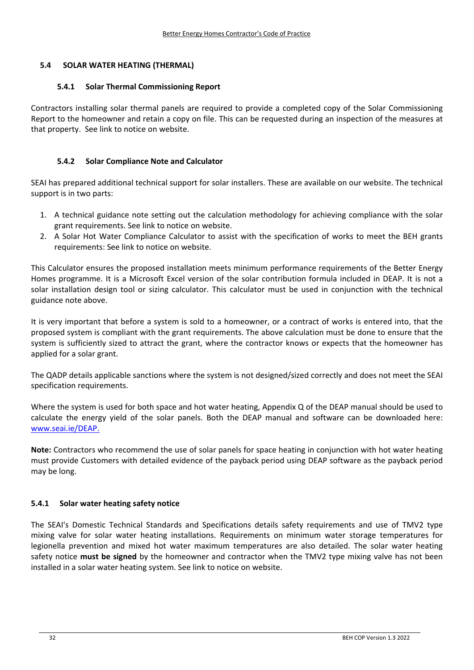# **5.4 SOLAR WATER HEATING (THERMAL)**

#### **5.4.1 Solar Thermal Commissioning Report**

Contractors installing solar thermal panels are required to provide a completed copy of the Solar Commissioning Report to the homeowner and retain a copy on file. This can be requested during an inspection of the measures at that property. See link to notice on website.

### **5.4.2 Solar Compliance Note and Calculator**

SEAI has prepared additional technical support for solar installers. These are available on our website. The technical support is in two parts:

- 1. A technical guidance note setting out the calculation methodology for achieving compliance with the solar grant requirements. See link to notice on website.
- 2. A Solar Hot Water Compliance Calculator to assist with the specification of works to meet the BEH grants requirements: See link to notice on website.

This Calculator ensures the proposed installation meets minimum performance requirements of the Better Energy Homes programme. It is a Microsoft Excel version of the solar contribution formula included in DEAP. It is not a solar installation design tool or sizing calculator. This calculator must be used in conjunction with the technical guidance note above.

It is very important that before a system is sold to a homeowner, or a contract of works is entered into, that the proposed system is compliant with the grant requirements. The above calculation must be done to ensure that the system is sufficiently sized to attract the grant, where the contractor knows or expects that the homeowner has applied for a solar grant.

The QADP details applicable sanctions where the system is not designed/sized correctly and does not meet the SEAI specification requirements.

Where the system is used for both space and hot water heating, Appendix Q of the DEAP manual should be used to calculate the energy yield of the solar panels. Both the DEAP manual and software can be downloaded here: www.seai.ie/DEAP.

**Note:** Contractors who recommend the use of solar panels for space heating in conjunction with hot water heating must provide Customers with detailed evidence of the payback period using DEAP software as the payback period may be long.

#### **5.4.1 Solar water heating safety notice**

The SEAI's Domestic Technical Standards and Specifications details safety requirements and use of TMV2 type mixing valve for solar water heating installations. Requirements on minimum water storage temperatures for legionella prevention and mixed hot water maximum temperatures are also detailed. The solar water heating safety notice **must be signed** by the homeowner and contractor when the TMV2 type mixing valve has not been installed in a solar water heating system. See link to notice on website.